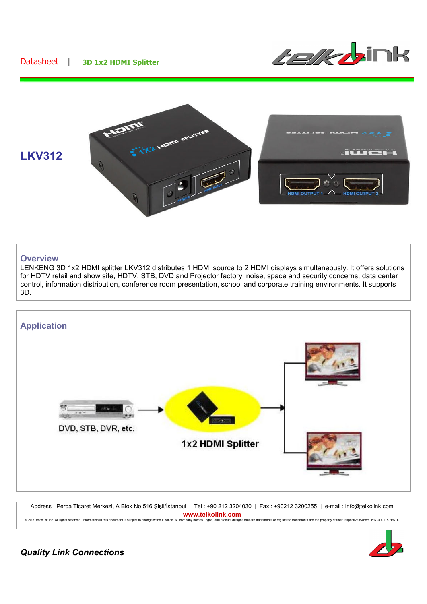## Datasheet **| 3D 1x2 HDMI Splitter**





## **Overview**

LENKENG 3D 1x2 HDMI splitter LKV312 distributes 1 HDMI source to 2 HDMI displays simultaneously. It offers solutions for HDTV retail and show site, HDTV, STB, DVD and Projector factory, noise, space and security concerns, data center control, information distribution, conference room presentation, school and corporate training environments. It supports 3D.



Address : Perpa Ticaret Merkezi, A Blok No.516 Şişli/İstanbul | Tel : +90 212 3204030 | Fax : +90212 3200255 | e-mail : info@telkolink.com **www.telkolink.com**<br>ompany names, logos, and product designs that are trademarks or registered trademarks are the property of their respective owners. 617-000175 Rev. C © 2009 telcolink Inc. All rights reserved. Information in this document is subject to change without notice. All company nam



*Quality Link Connections*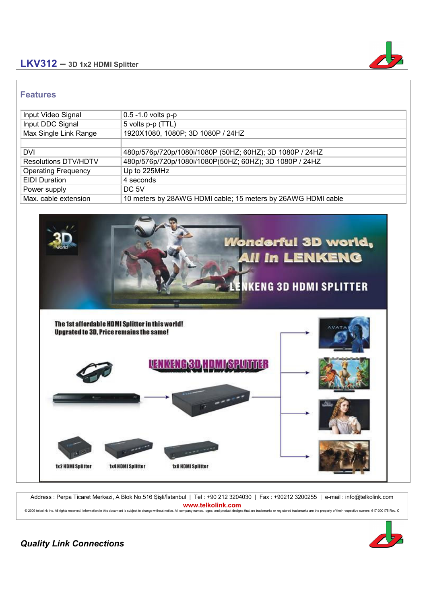## **LKV312 – 3D 1x2 HDMI Splitter**



## **Features**

| Input Video Signal          | $0.5 - 1.0$ volts $p-p$                                      |
|-----------------------------|--------------------------------------------------------------|
| Input DDC Signal            | 5 volts p-p (TTL)                                            |
| Max Single Link Range       | 1920X1080, 1080P; 3D 1080P / 24HZ                            |
|                             |                                                              |
| <b>DVI</b>                  | 480p/576p/720p/1080i/1080P (50HZ; 60HZ); 3D 1080P / 24HZ     |
| <b>Resolutions DTV/HDTV</b> | 480p/576p/720p/1080i/1080P(50HZ; 60HZ); 3D 1080P / 24HZ      |
| <b>Operating Frequency</b>  | Up to 225MHz                                                 |
| <b>EIDI</b> Duration        | 4 seconds                                                    |
| Power supply                | DC 5V                                                        |
| Max. cable extension        | 10 meters by 28AWG HDMI cable; 15 meters by 26AWG HDMI cable |



Address : Perpa Ticaret Merkezi, A Blok No.516 Şişli/İstanbul | Tel : +90 212 3204030 | Fax : +90212 3200255 | e-mail : info@telkolink.com **www.telkolink.com**<br>ompany names logos, and product designs that are trademarks or registered trademarks are the property of their respective owners, 617-000175 Rev. C. © 2009 telcolink Inc. All rights reserved. Information in this document is subject to change without notice. All company nan



*Quality Link Connections*